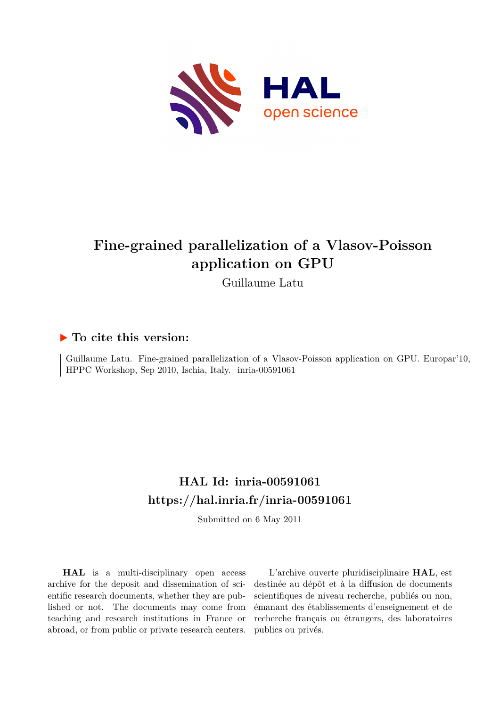

# **Fine-grained parallelization of a Vlasov-Poisson application on GPU**

Guillaume Latu

### **To cite this version:**

Guillaume Latu. Fine-grained parallelization of a Vlasov-Poisson application on GPU. Europar'10, HPPC Workshop, Sep 2010, Ischia, Italy. inria-00591061

## **HAL Id: inria-00591061 <https://hal.inria.fr/inria-00591061>**

Submitted on 6 May 2011

**HAL** is a multi-disciplinary open access archive for the deposit and dissemination of scientific research documents, whether they are published or not. The documents may come from teaching and research institutions in France or abroad, or from public or private research centers.

L'archive ouverte pluridisciplinaire **HAL**, est destinée au dépôt et à la diffusion de documents scientifiques de niveau recherche, publiés ou non, émanant des établissements d'enseignement et de recherche français ou étrangers, des laboratoires publics ou privés.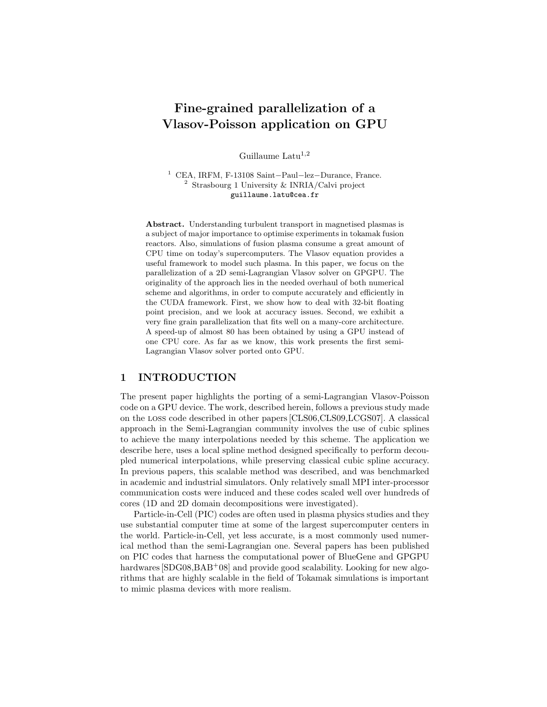## Fine-grained parallelization of a Vlasov-Poisson application on GPU

Guillaume Latu<sup>1,2</sup>

<sup>1</sup> CEA, IRFM, F-13108 Saint−Paul−lez−Durance, France. <sup>2</sup> Strasbourg 1 University & INRIA/Calvi project guillaume.latu@cea.fr

Abstract. Understanding turbulent transport in magnetised plasmas is a subject of major importance to optimise experiments in tokamak fusion reactors. Also, simulations of fusion plasma consume a great amount of CPU time on today's supercomputers. The Vlasov equation provides a useful framework to model such plasma. In this paper, we focus on the parallelization of a 2D semi-Lagrangian Vlasov solver on GPGPU. The originality of the approach lies in the needed overhaul of both numerical scheme and algorithms, in order to compute accurately and efficiently in the CUDA framework. First, we show how to deal with 32-bit floating point precision, and we look at accuracy issues. Second, we exhibit a very fine grain parallelization that fits well on a many-core architecture. A speed-up of almost 80 has been obtained by using a GPU instead of one CPU core. As far as we know, this work presents the first semi-Lagrangian Vlasov solver ported onto GPU.

#### 1 INTRODUCTION

The present paper highlights the porting of a semi-Lagrangian Vlasov-Poisson code on a GPU device. The work, described herein, follows a previous study made on the loss code described in other papers [CLS06,CLS09,LCGS07]. A classical approach in the Semi-Lagrangian community involves the use of cubic splines to achieve the many interpolations needed by this scheme. The application we describe here, uses a local spline method designed specifically to perform decoupled numerical interpolations, while preserving classical cubic spline accuracy. In previous papers, this scalable method was described, and was benchmarked in academic and industrial simulators. Only relatively small MPI inter-processor communication costs were induced and these codes scaled well over hundreds of cores (1D and 2D domain decompositions were investigated).

Particle-in-Cell (PIC) codes are often used in plasma physics studies and they use substantial computer time at some of the largest supercomputer centers in the world. Particle-in-Cell, yet less accurate, is a most commonly used numerical method than the semi-Lagrangian one. Several papers has been published on PIC codes that harness the computational power of BlueGene and GPGPU hardwares  $\left[\text{SDG08},\text{BAB}^+08\right]$  and provide good scalability. Looking for new algorithms that are highly scalable in the field of Tokamak simulations is important to mimic plasma devices with more realism.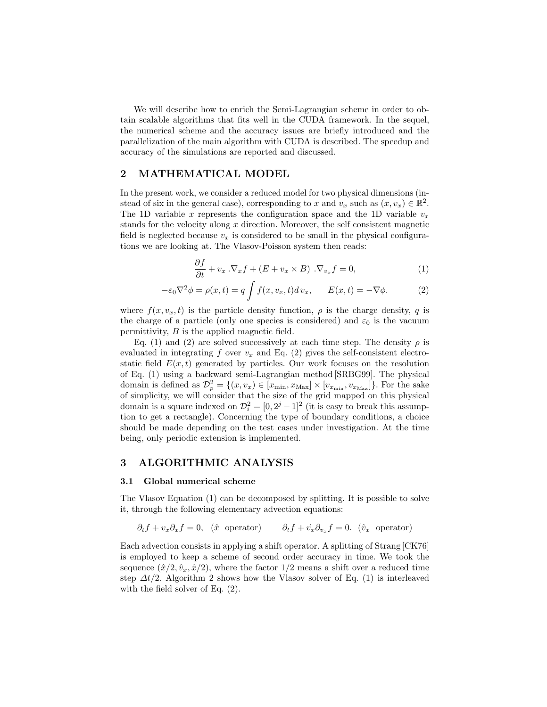We will describe how to enrich the Semi-Lagrangian scheme in order to obtain scalable algorithms that fits well in the CUDA framework. In the sequel, the numerical scheme and the accuracy issues are briefly introduced and the parallelization of the main algorithm with CUDA is described. The speedup and accuracy of the simulations are reported and discussed.

#### 2 MATHEMATICAL MODEL

In the present work, we consider a reduced model for two physical dimensions (instead of six in the general case), corresponding to x and  $v_x$  such as  $(x, v_x) \in \mathbb{R}^2$ . The 1D variable x represents the configuration space and the 1D variable  $v_x$ stands for the velocity along  $x$  direction. Moreover, the self consistent magnetic field is neglected because  $v_x$  is considered to be small in the physical configurations we are looking at. The Vlasov-Poisson system then reads:

$$
\frac{\partial f}{\partial t} + v_x \cdot \nabla_x f + (E + v_x \times B) \cdot \nabla_{v_x} f = 0,
$$
\n(1)

$$
-\varepsilon_0 \nabla^2 \phi = \rho(x, t) = q \int f(x, v_x, t) dv_x, \qquad E(x, t) = -\nabla \phi.
$$
 (2)

where  $f(x, v_x, t)$  is the particle density function,  $\rho$  is the charge density, q is the charge of a particle (only one species is considered) and  $\varepsilon_0$  is the vacuum permittivity, B is the applied magnetic field.

Eq. (1) and (2) are solved successively at each time step. The density  $\rho$  is evaluated in integrating f over  $v_x$  and Eq. (2) gives the self-consistent electrostatic field  $E(x, t)$  generated by particles. Our work focuses on the resolution of Eq. (1) using a backward semi-Lagrangian method [SRBG99]. The physical domain is defined as  $\mathcal{D}_p^2 = \{(x, v_x) \in [x_{\min}, x_{\max}] \times [v_{x_{\min}}, v_{x_{\max}}]\}.$  For the sake of simplicity, we will consider that the size of the grid mapped on this physical domain is a square indexed on  $\mathcal{D}_i^2 = [0, 2^j - 1]^2$  (it is easy to break this assumption to get a rectangle). Concerning the type of boundary conditions, a choice should be made depending on the test cases under investigation. At the time being, only periodic extension is implemented.

#### 3 ALGORITHMIC ANALYSIS

#### 3.1 Global numerical scheme

The Vlasov Equation (1) can be decomposed by splitting. It is possible to solve it, through the following elementary advection equations:

$$
\partial_t f + v_x \partial_x f = 0, \quad (\hat{x} \text{ operator}) \qquad \partial_t f + v_x \partial_{v_x} f = 0. \quad (\hat{v}_x \text{ operator})
$$

Each advection consists in applying a shift operator. A splitting of Strang [CK76] is employed to keep a scheme of second order accuracy in time. We took the sequence  $(\hat{x}/2, \hat{v}_x, \hat{x}/2)$ , where the factor  $1/2$  means a shift over a reduced time step  $\Delta t/2$ . Algorithm 2 shows how the Vlasov solver of Eq. (1) is interleaved with the field solver of Eq. (2).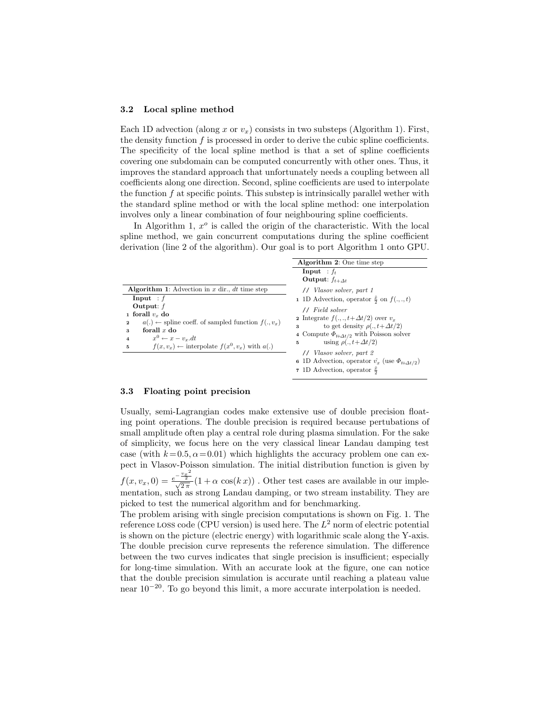#### 3.2 Local spline method

Each 1D advection (along x or  $v_x$ ) consists in two substeps (Algorithm 1). First, the density function  $f$  is processed in order to derive the cubic spline coefficients. The specificity of the local spline method is that a set of spline coefficients covering one subdomain can be computed concurrently with other ones. Thus, it improves the standard approach that unfortunately needs a coupling between all coefficients along one direction. Second, spline coefficients are used to interpolate the function  $f$  at specific points. This substep is intrinsically parallel wether with the standard spline method or with the local spline method: one interpolation involves only a linear combination of four neighbouring spline coefficients.

In Algorithm 1,  $x^o$  is called the origin of the characteristic. With the local spline method, we gain concurrent computations during the spline coefficient derivation (line 2 of the algorithm). Our goal is to port Algorithm 1 onto GPU.

|                                                                   | <b>Algorithm 2:</b> One time step                                 |  |  |
|-------------------------------------------------------------------|-------------------------------------------------------------------|--|--|
|                                                                   | <b>Input</b> : $f_t$                                              |  |  |
|                                                                   | Output: $f_{t+\Delta t}$                                          |  |  |
| <b>Algorithm 1:</b> Advection in x dir., dt time step             | // Vlasov solver, part 1                                          |  |  |
| Input : $f$                                                       | 1 1D Advection, operator $\frac{\hat{x}}{2}$ on $f(.,.,t)$        |  |  |
| Output: $f$                                                       | // Field solver                                                   |  |  |
| 1 forall $v_r$ do                                                 | 2 Integrate $f(.,.,t+\Delta t/2)$ over $v_x$                      |  |  |
| $a(.) \leftarrow$ spline coeff. of sampled function $f(., v_x)$   |                                                                   |  |  |
| forall $x$ do<br>3                                                | to get density $\rho(., t+\Delta t/2)$<br>3                       |  |  |
| $x^0 \leftarrow x - v_x \, dt$<br>$\overline{\mathbf{4}}$         | 4 Compute $\Phi_{t+\Delta t/2}$ with Poisson solver               |  |  |
| $f(x, v_x) \leftarrow$ interpolate $f(x^0, v_x)$ with $a(.)$<br>5 | using $\rho( ., t + \Delta t/2)$<br>5                             |  |  |
|                                                                   | // Vlasov solver, part 2                                          |  |  |
|                                                                   | 6 1D Advection, operator $\hat{v}_x$ (use $\Phi_{t+\Delta t/2}$ ) |  |  |
|                                                                   | 7 1D Advection, operator $\frac{x}{2}$                            |  |  |

#### 3.3 Floating point precision

Usually, semi-Lagrangian codes make extensive use of double precision floating point operations. The double precision is required because pertubations of small amplitude often play a central role during plasma simulation. For the sake of simplicity, we focus here on the very classical linear Landau damping test case (with  $k = 0.5, \alpha = 0.01$ ) which highlights the accuracy problem one can expect in Vlasov-Poisson simulation. The initial distribution function is given by  $f(x, v_x, 0) = \frac{e^{-\frac{v_x^2}{2}}}{\sqrt{2\pi}} (1 + \alpha \cos(kx))$ . Other test cases are available in our implementation, such as strong Landau damping, or two stream instability. They are picked to test the numerical algorithm and for benchmarking.

The problem arising with single precision computations is shown on Fig. 1. The reference LOSS code (CPU version) is used here. The  $L^2$  norm of electric potential is shown on the picture (electric energy) with logarithmic scale along the Y-axis. The double precision curve represents the reference simulation. The difference between the two curves indicates that single precision is insufficient; especially for long-time simulation. With an accurate look at the figure, one can notice that the double precision simulation is accurate until reaching a plateau value near  $10^{-20}$ . To go beyond this limit, a more accurate interpolation is needed.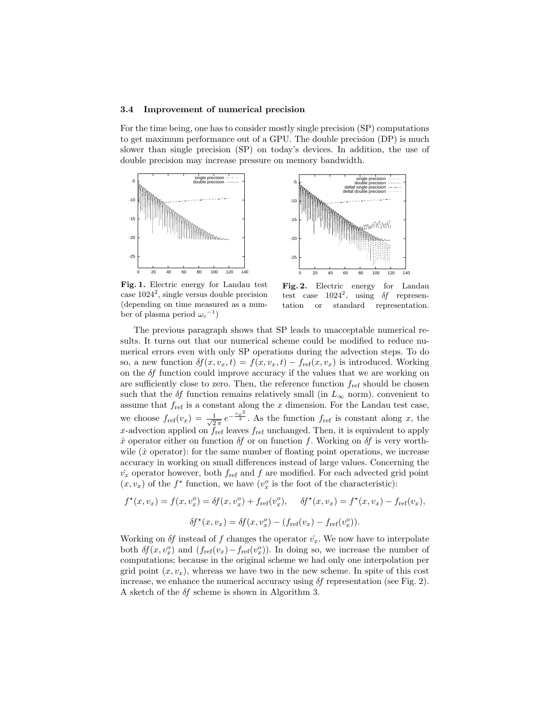#### 3.4 Improvement of numerical precision

For the time being, one has to consider mostly single precision (SP) computations to get maximum performance out of a GPU. The double precision (DP) is much slower than single precision (SP) on today's devices. In addition, the use of double precision may increase pressure on memory bandwidth.





Fig. 1. Electric energy for Landau test case  $1024^2$ , single versus double precision (depending on time measured as a number of plasma period  $\omega_c^{-1}$ )

Fig. 2. Electric energy for Landau test case  $1024^2$ , using  $\delta f$  representation or standard representation.

The previous paragraph shows that SP leads to unacceptable numerical results. It turns out that our numerical scheme could be modified to reduce numerical errors even with only SP operations during the advection steps. To do so, a new function  $\delta f(x, v_x, t) = f(x, v_x, t) - f_{ref}(x, v_x)$  is introduced. Working on the δf function could improve accuracy if the values that we are working on are sufficiently close to zero. Then, the reference function  $f_{\text{ref}}$  should be chosen such that the  $\delta f$  function remains relatively small (in  $L_{\infty}$  norm). convenient to assume that  $f_{\text{ref}}$  is a constant along the x dimension. For the Landau test case, we choose  $f_{\text{ref}}(v_x) = \frac{1}{\sqrt{2}}$  $\frac{1}{2\pi}e^{-\frac{v_x^2}{2}}$ . As the function  $f_{ref}$  is constant along x, the x-advection applied on  $f_{ref}$  leaves  $f_{ref}$  unchanged. Then, it is equivalent to apply  $\hat{x}$  operator either on function  $\delta f$  or on function f. Working on  $\delta f$  is very worthwile  $(\hat{x}$  operator): for the same number of floating point operations, we increase accuracy in working on small differences instead of large values. Concerning the  $\hat{v}_x$  operator however, both  $f_{\text{ref}}$  and f are modified. For each advected grid point  $(x, v_x)$  of the  $f^*$  function, we have  $(v_x^o$  is the foot of the characteristic):

$$
f^{\star}(x, v_x) = f(x, v_x^o) = \delta f(x, v_x^o) + f_{\text{ref}}(v_x^o), \quad \delta f^{\star}(x, v_x) = f^{\star}(x, v_x) - f_{\text{ref}}(v_x),
$$

$$
\delta f^{\star}(x, v_x) = \delta f(x, v_x^o) - (f_{\text{ref}}(v_x) - f_{\text{ref}}(v_x^o)).
$$

Working on  $\delta f$  instead of f changes the operator  $\hat{v}_x$ . We now have to interpolate both  $\delta f(x, v_x^o)$  and  $(f_{\text{ref}}(v_x) - f_{\text{ref}}(v_x^o))$ . In doing so, we increase the number of computations; because in the original scheme we had only one interpolation per grid point  $(x, v_x)$ , whereas we have two in the new scheme. In spite of this cost increase, we enhance the numerical accuracy using  $\delta f$  representation (see Fig. 2). A sketch of the  $\delta f$  scheme is shown in Algorithm 3.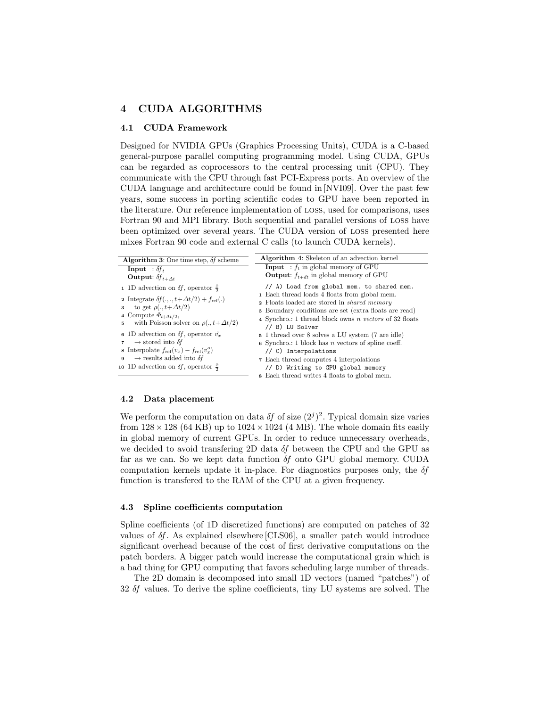#### 4 CUDA ALGORITHMS

#### 4.1 CUDA Framework

Designed for NVIDIA GPUs (Graphics Processing Units), CUDA is a C-based general-purpose parallel computing programming model. Using CUDA, GPUs can be regarded as coprocessors to the central processing unit (CPU). They communicate with the CPU through fast PCI-Express ports. An overview of the CUDA language and architecture could be found in [NVI09]. Over the past few years, some success in porting scientific codes to GPU have been reported in the literature. Our reference implementation of loss, used for comparisons, uses Fortran 90 and MPI library. Both sequential and parallel versions of loss have been optimized over several years. The CUDA version of loss presented here mixes Fortran 90 code and external C calls (to launch CUDA kernels).

| <b>Algorithm 3:</b> One time step, $\delta f$ scheme                                                                                                                                                                                                                                | <b>Algorithm 4:</b> Skeleton of an advection kernel                                                                                                                                                                                                                                                          |
|-------------------------------------------------------------------------------------------------------------------------------------------------------------------------------------------------------------------------------------------------------------------------------------|--------------------------------------------------------------------------------------------------------------------------------------------------------------------------------------------------------------------------------------------------------------------------------------------------------------|
| <b>Input</b> : $\delta f_t$<br><b>Output:</b> $\delta f_{t+\Delta t}$                                                                                                                                                                                                               | <b>Input</b> : $f_t$ in global memory of GPU<br><b>Output:</b> $f_{t+dt}$ in global memory of GPU                                                                                                                                                                                                            |
| 1 1D advection on $\delta f$ , operator $\frac{x}{2}$<br>2 Integrate $\delta f(.,.,t+\Delta t/2)+f_{\text{ref}}(.)$<br>to get $\rho(., t+\Delta t/2)$<br>3<br>4 Compute $\Phi_{t+\Delta t/2}$ ,<br>with Poisson solver on $\rho(., t+\Delta t/2)$<br>5                              | // A) Load from global mem. to shared mem.<br>1 Each thread loads 4 floats from global mem.<br><b>2</b> Floats loaded are stored in <i>shared memory</i><br><b>3</b> Boundary conditions are set (extra floats are read)<br>4 Synchro.: 1 thread block owns <i>n</i> vectors of 32 floats<br>// B) LU Solver |
| 6 1D advection on $\delta f$ , operator $\hat{v_x}$<br>$\rightarrow$ stored into $\delta f$<br>$\overline{7}$<br><b>8</b> Interpolate $f_{ref}(v_x) - f_{ref}(v_x^o)$<br>$\rightarrow$ results added into $\delta f$<br>9<br>10 1D advection on $\delta f$ , operator $\frac{x}{2}$ | 5 1 thread over 8 solves a LU system (7 are idle)<br>6 Synchro.: 1 block has <i>n</i> vectors of spline coeff.<br>// C) Interpolations<br><b>7</b> Each thread computes 4 interpolations<br>// D) Writing to GPU global memory                                                                               |
|                                                                                                                                                                                                                                                                                     | <b>8</b> Each thread writes 4 floats to global mem.                                                                                                                                                                                                                                                          |

#### 4.2 Data placement

We perform the computation on data  $\delta f$  of size  $(2^{j})^2$ . Typical domain size varies from  $128 \times 128$  (64 KB) up to  $1024 \times 1024$  (4 MB). The whole domain fits easily in global memory of current GPUs. In order to reduce unnecessary overheads, we decided to avoid transfering 2D data  $\delta f$  between the CPU and the GPU as far as we can. So we kept data function δf onto GPU global memory. CUDA computation kernels update it in-place. For diagnostics purposes only, the  $\delta f$ function is transfered to the RAM of the CPU at a given frequency.

#### 4.3 Spline coefficients computation

Spline coefficients (of 1D discretized functions) are computed on patches of 32 values of δf. As explained elsewhere [CLS06], a smaller patch would introduce significant overhead because of the cost of first derivative computations on the patch borders. A bigger patch would increase the computational grain which is a bad thing for GPU computing that favors scheduling large number of threads.

The 2D domain is decomposed into small 1D vectors (named "patches") of 32 δf values. To derive the spline coefficients, tiny LU systems are solved. The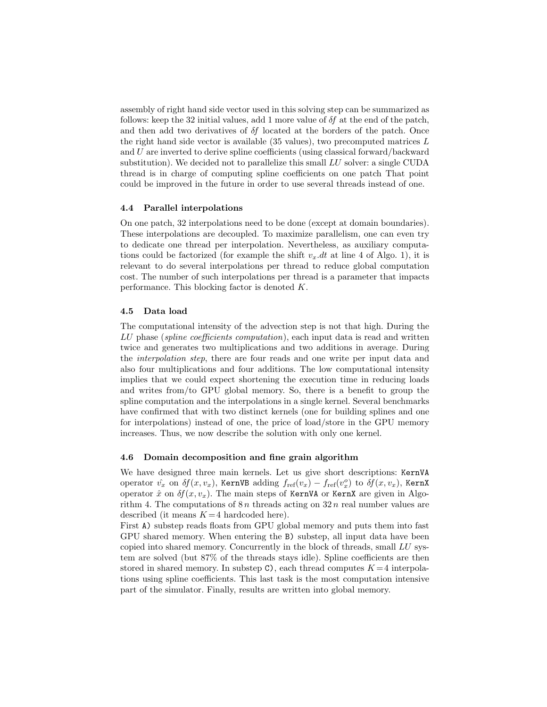assembly of right hand side vector used in this solving step can be summarized as follows: keep the 32 initial values, add 1 more value of  $\delta f$  at the end of the patch, and then add two derivatives of  $\delta f$  located at the borders of the patch. Once the right hand side vector is available  $(35 \text{ values})$ , two precomputed matrices  $L$ and U are inverted to derive spline coefficients (using classical forward/backward substitution). We decided not to parallelize this small LU solver: a single CUDA thread is in charge of computing spline coefficients on one patch That point could be improved in the future in order to use several threads instead of one.

#### 4.4 Parallel interpolations

On one patch, 32 interpolations need to be done (except at domain boundaries). These interpolations are decoupled. To maximize parallelism, one can even try to dedicate one thread per interpolation. Nevertheless, as auxiliary computations could be factorized (for example the shift  $v_x \, dt$  at line 4 of Algo. 1), it is relevant to do several interpolations per thread to reduce global computation cost. The number of such interpolations per thread is a parameter that impacts performance. This blocking factor is denoted K.

#### 4.5 Data load

The computational intensity of the advection step is not that high. During the LU phase (spline coefficients computation), each input data is read and written twice and generates two multiplications and two additions in average. During the interpolation step, there are four reads and one write per input data and also four multiplications and four additions. The low computational intensity implies that we could expect shortening the execution time in reducing loads and writes from/to GPU global memory. So, there is a benefit to group the spline computation and the interpolations in a single kernel. Several benchmarks have confirmed that with two distinct kernels (one for building splines and one for interpolations) instead of one, the price of load/store in the GPU memory increases. Thus, we now describe the solution with only one kernel.

#### 4.6 Domain decomposition and fine grain algorithm

We have designed three main kernels. Let us give short descriptions: KernVA operator  $\hat{v_x}$  on  $\delta f(x, v_x)$ , KernVB adding  $f_{\text{ref}}(v_x) - f_{\text{ref}}(v_x^o)$  to  $\delta f(x, v_x)$ , KernX operator  $\hat{x}$  on  $\delta f(x, v_x)$ . The main steps of KernVA or KernX are given in Algorithm 4. The computations of  $8n$  threads acting on  $32n$  real number values are described (it means  $K = 4$  hardcoded here).

First A) substep reads floats from GPU global memory and puts them into fast GPU shared memory. When entering the B) substep, all input data have been copied into shared memory. Concurrently in the block of threads, small LU system are solved (but 87% of the threads stays idle). Spline coefficients are then stored in shared memory. In substep  $C$ , each thread computes  $K = 4$  interpolations using spline coefficients. This last task is the most computation intensive part of the simulator. Finally, results are written into global memory.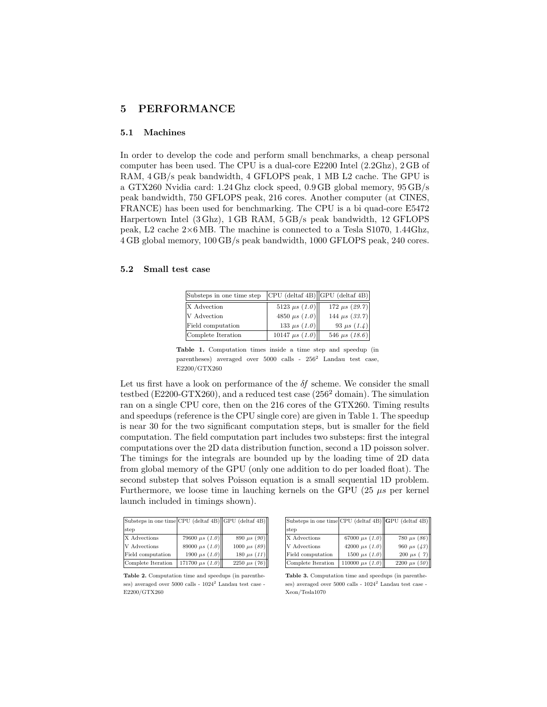#### 5 PERFORMANCE

#### 5.1 Machines

In order to develop the code and perform small benchmarks, a cheap personal computer has been used. The CPU is a dual-core E2200 Intel (2.2Ghz), 2 GB of RAM, 4 GB/s peak bandwidth, 4 GFLOPS peak, 1 MB L2 cache. The GPU is a GTX260 Nvidia card: 1.24 Ghz clock speed, 0.9 GB global memory, 95 GB/s peak bandwidth, 750 GFLOPS peak, 216 cores. Another computer (at CINES, FRANCE) has been used for benchmarking. The CPU is a bi quad-core E5472 Harpertown Intel (3 Ghz), 1 GB RAM, 5 GB/s peak bandwidth, 12 GFLOPS peak, L2 cache 2×6 MB. The machine is connected to a Tesla S1070, 1.44Ghz, 4 GB global memory, 100 GB/s peak bandwidth, 1000 GFLOPS peak, 240 cores.

#### 5.2 Small test case

| Substeps in one time step |                     | $ CPU (delta 4B)$ $ GPU (delta 4B)$ |
|---------------------------|---------------------|-------------------------------------|
| X Advection               | 5123 $\mu s$ (1.0)  | 172 $\mu s$ (29.7)                  |
| V Advection               | 4850 $\mu s$ (1.0)  | 144 $\mu s$ (33.7)                  |
| Field computation         | 133 $\mu s$ (1.0)   | 93 $\mu s$ (1.4)                    |
| Complete Iteration        | 10147 $\mu s$ (1.0) | 546 $\mu s$ (18.6)                  |

Table 1. Computation times inside a time step and speedup (in parentheses) averaged over  $5000$  calls -  $256^2$  Landau test case, E2200/GTX260

Let us first have a look on performance of the  $\delta f$  scheme. We consider the small testbed ( $E2200-GTX260$ ), and a reduced test case ( $256<sup>2</sup>$  domain). The simulation ran on a single CPU core, then on the 216 cores of the GTX260. Timing results and speedups (reference is the CPU single core) are given in Table 1. The speedup is near 30 for the two significant computation steps, but is smaller for the field computation. The field computation part includes two substeps: first the integral computations over the 2D data distribution function, second a 1D poisson solver. The timings for the integrals are bounded up by the loading time of 2D data from global memory of the GPU (only one addition to do per loaded float). The second substep that solves Poisson equation is a small sequential 1D problem. Furthermore, we loose time in lauching kernels on the GPU  $(25 \mu s)$  per kernel launch included in timings shown).

| Substeps in one time CPU (deltaf 4B) GPU (deltaf 4B) |                      |                   |
|------------------------------------------------------|----------------------|-------------------|
| step                                                 |                      |                   |
| X Advections                                         | 79600 $\mu s$ (1.0)  | 890 $\mu s$ (90)  |
| V Advections                                         | 89000 $\mu s$ (1.0)  | 1000 $\mu s$ (89) |
| Field computation                                    | 1900 $\mu s$ (1.0)   | 180 $\mu s$ (11)  |
| Complete Iteration                                   | 171700 $\mu s$ (1.0) | 2250 $\mu s$ (76) |

Table 2. Computation time and speedups (in parentheses) averaged over  $5000$  calls -  $1024^2$  Landau test case -E2200/GTX260

| Substeps in one time CPU (deltaf 4B) GPU (deltaf 4B) |                      |                   |
|------------------------------------------------------|----------------------|-------------------|
| step                                                 |                      |                   |
| X Advections                                         | 67000 $\mu s$ (1.0)  | 780 $\mu s$ (86)  |
| V Advections                                         | 42000 $\mu s$ (1.0)  | 960 $\mu s$ (43)  |
| Field computation                                    | 1500 $\mu s$ (1.0)   | 200 $\mu s$ ( 7)  |
| Complete Iteration                                   | 110000 $\mu s$ (1.0) | 2200 $\mu s$ (50) |

Table 3. Computation time and speedups (in parentheses) averaged over  $5000$  calls -  $1024^2$  Landau test case -Xeon/Tesla1070